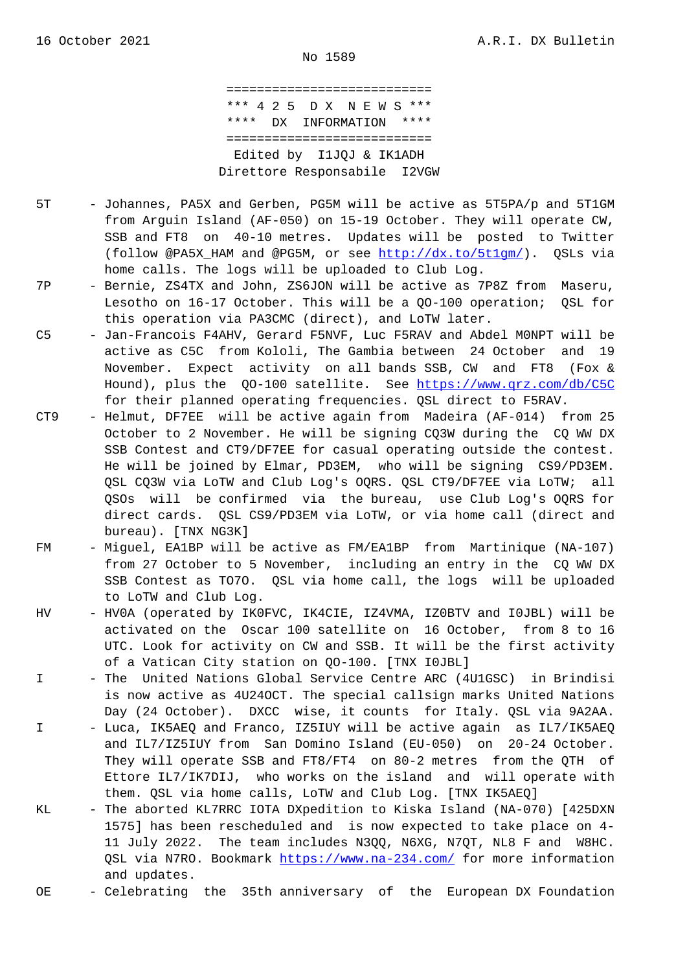=========================== \*\*\* 4 2 5 D X N E W S \*\*\* \*\*\*\* DX INFORMATION \*\*\*\* =========================== Edited by I1JQJ & IK1ADH Direttore Responsabile I2VGW

- 5T Johannes, PA5X and Gerben, PG5M will be active as 5T5PA/p and 5T1GM from Arguin Island (AF-050) on 15-19 October. They will operate CW, SSB and FT8 on 40-10 metres. Updates will be posted to Twitter (follow @PA5X\_HAM and @PG5M, or see http://dx.to/5t1gm/). QSLs via home calls. The logs will be uploaded to Club Log.
- 7P Bernie, ZS4TX and John, ZS6JON will be active as 7P8Z from Maseru, Lesotho on 16-17 October. This will [be a QO-100 operatio](http://dx.to/5t1gm/)n; QSL for this operation via PA3CMC (direct), and LoTW later.
- C5 Jan-Francois F4AHV, Gerard F5NVF, Luc F5RAV and Abdel M0NPT will be active as C5C from Kololi, The Gambia between 24 October and 19 November. Expect activity on all bands SSB, CW and FT8 (Fox & Hound), plus the QO-100 satellite. See https://www.qrz.com/db/C5C for their planned operating frequencies. QSL direct to F5RAV.
- CT9 Helmut, DF7EE will be active again from Madeira (AF-014) from 25 October to 2 November. He will be signing CQ3W during the CQ WW DX SSB Contest and CT9/DF7EE for casual ope[rating outside the contest.](https://www.qrz.com/db/C5C) He will be joined by Elmar, PD3EM, who will be signing CS9/PD3EM. QSL CQ3W via LoTW and Club Log's OQRS. QSL CT9/DF7EE via LoTW; all QSOs will be confirmed via the bureau, use Club Log's OQRS for direct cards. QSL CS9/PD3EM via LoTW, or via home call (direct and bureau). [TNX NG3K]
- FM Miguel, EA1BP will be active as FM/EA1BP from Martinique (NA-107) from 27 October to 5 November, including an entry in the CQ WW DX SSB Contest as TO7O. QSL via home call, the logs will be uploaded to LoTW and Club Log.
- HV HV0A (operated by IK0FVC, IK4CIE, IZ4VMA, IZ0BTV and I0JBL) will be activated on the Oscar 100 satellite on 16 October, from 8 to 16 UTC. Look for activity on CW and SSB. It will be the first activity of a Vatican City station on QO-100. [TNX I0JBL]
- I The United Nations Global Service Centre ARC (4U1GSC) in Brindisi is now active as 4U24OCT. The special callsign marks United Nations Day (24 October). DXCC wise, it counts for Italy. QSL via 9A2AA.
- I Luca, IK5AEQ and Franco, IZ5IUY will be active again as IL7/IK5AEQ and IL7/IZ5IUY from San Domino Island (EU-050) on 20-24 October. They will operate SSB and FT8/FT4 on 80-2 metres from the QTH of Ettore IL7/IK7DIJ, who works on the island and will operate with them. QSL via home calls, LoTW and Club Log. [TNX IK5AEQ]
- KL The aborted KL7RRC IOTA DXpedition to Kiska Island (NA-070) [425DXN 1575] has been rescheduled and is now expected to take place on 4- 11 July 2022. The team includes N3QQ, N6XG, N7QT, NL8 F and W8HC. QSL via N7RO. Bookmark https://www.na-234.com/ for more information and updates.
- OE Celebrating the 35th anniversary of the European DX Foundation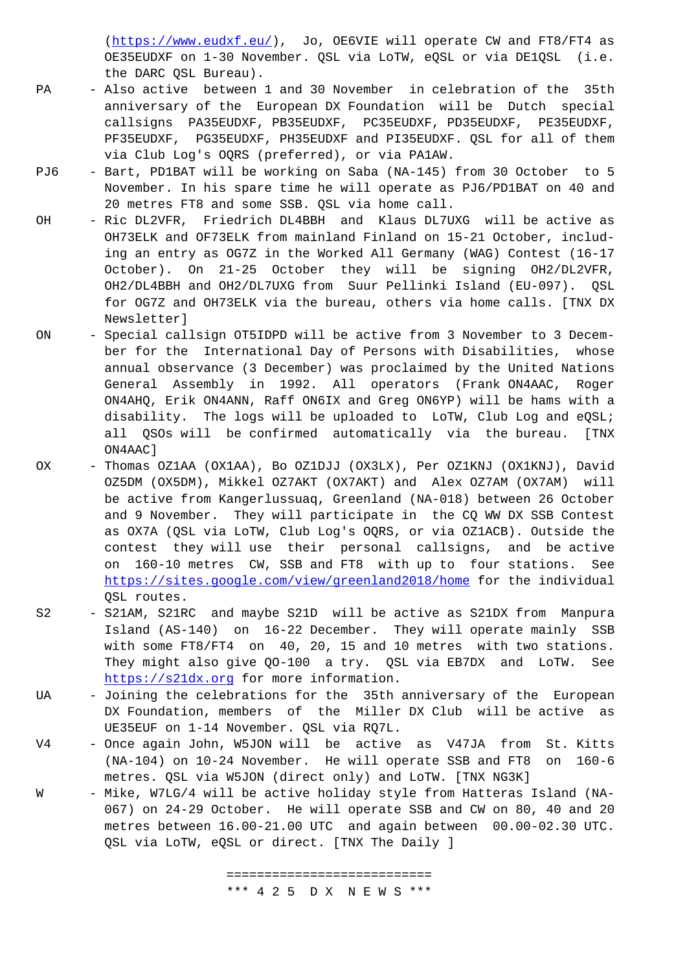OE35EUDXF on 1-30 November. QSL via LoTW, eQSL or via DE1QSL (i.e. the DARC QSL Bureau).

- PA [Also active between 1](https://www.eudxf.eu/) and 30 November in celebration of the 35th anniversary of the European DX Foundation will be Dutch special callsigns PA35EUDXF, PB35EUDXF, PC35EUDXF, PD35EUDXF, PE35EUDXF, PF35EUDXF, PG35EUDXF, PH35EUDXF and PI35EUDXF. QSL for all of them via Club Log's OQRS (preferred), or via PA1AW.
- PJ6 Bart, PD1BAT will be working on Saba (NA-145) from 30 October to 5 November. In his spare time he will operate as PJ6/PD1BAT on 40 and 20 metres FT8 and some SSB. QSL via home call.
- OH Ric DL2VFR, Friedrich DL4BBH and Klaus DL7UXG will be active as OH73ELK and OF73ELK from mainland Finland on 15-21 October, includ ing an entry as OG7Z in the Worked All Germany (WAG) Contest (16-17 October). On 21-25 October they will be signing OH2/DL2VFR, OH2/DL4BBH and OH2/DL7UXG from Suur Pellinki Island (EU-097). QSL for OG7Z and OH73ELK via the bureau, others via home calls. [TNX DX Newsletter]
- ON Special callsign OT5IDPD will be active from 3 November to 3 Decem ber for the International Day of Persons with Disabilities, whose annual observance (3 December) was proclaimed by the United Nations General Assembly in 1992. All operators (Frank ON4AAC, Roger ON4AHQ, Erik ON4ANN, Raff ON6IX and Greg ON6YP) will be hams with a disability. The logs will be uploaded to LoTW, Club Log and eQSL; all QSOs will be confirmed automatically via the bureau. [TNX ON4AAC]
- OX Thomas OZ1AA (OX1AA), Bo OZ1DJJ (OX3LX), Per OZ1KNJ (OX1KNJ), David OZ5DM (OX5DM), Mikkel OZ7AKT (OX7AKT) and Alex OZ7AM (OX7AM) will be active from Kangerlussuaq, Greenland (NA-018) between 26 October and 9 November. They will participate in the CQ WW DX SSB Contest as OX7A (QSL via LoTW, Club Log's OQRS, or via OZ1ACB). Outside the contest they will use their personal callsigns, and be active on 160-10 metres CW, SSB and FT8 with up to four stations. See https://sites.google.com/view/greenland2018/home for the individual QSL routes.
- S2 S21AM, S21RC and maybe S21D will be active as S21DX from Manpura Island (AS-140) on 16-22 December. They will operate mainly SSB [with some FT8/FT4 on 40, 20, 15 and 10 metres](https://sites.google.com/view/greenland2018/home) with two stations. They might also give QO-100 a try. QSL via EB7DX and LoTW. See https://s21dx.org for more information.
- UA Joining the celebrations for the 35th anniversary of the European DX Foundation, members of the Miller DX Club will be active as UE35EUF on 1-14 November. QSL via RQ7L.
- V4 [Once again John, W](https://s21dx.org)5JON will be active as V47JA from St. Kitts (NA-104) on 10-24 November. He will operate SSB and FT8 on 160-6 metres. QSL via W5JON (direct only) and LoTW. [TNX NG3K]
- W Mike, W7LG/4 will be active holiday style from Hatteras Island (NA- 067) on 24-29 October. He will operate SSB and CW on 80, 40 and 20 metres between 16.00-21.00 UTC and again between 00.00-02.30 UTC. QSL via LoTW, eQSL or direct. [TNX The Daily ]

 =========================== \*\*\* 4 2 5 D X N E W S \*\*\*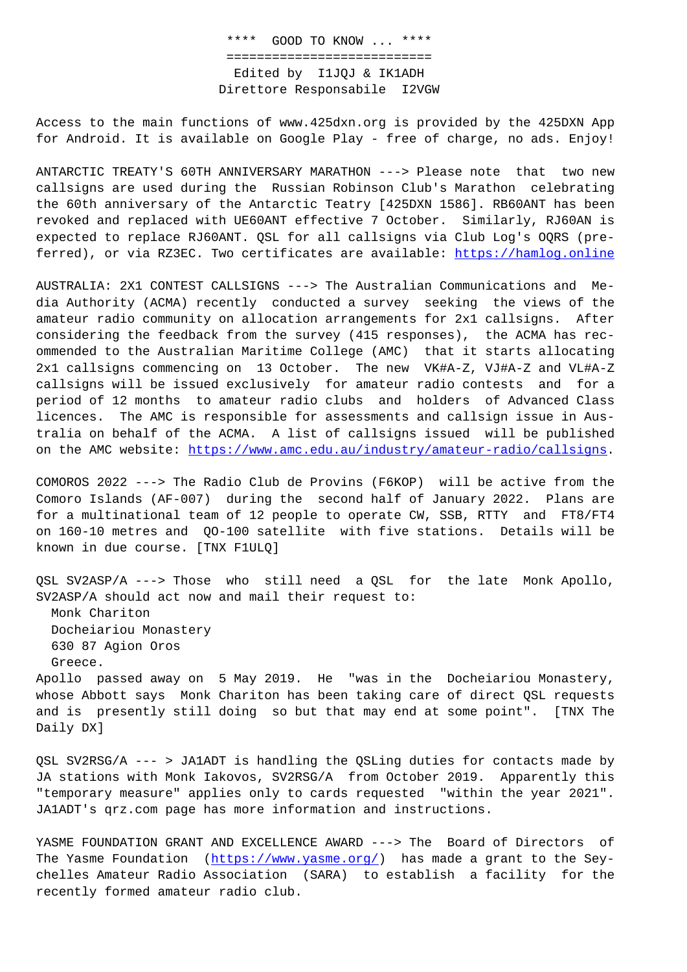## =========================== Edited by I1JQJ & IK1ADH Direttore Responsabile I2VGW

Access to the main functions of www.425dxn.org is provided by the 425DXN App for Android. It is available on Google Play - free of charge, no ads. Enjoy!

ANTARCTIC TREATY'S 60TH ANNIVERSARY MARATHON ---> Please note that two new callsigns are used during the Russian Robinson Club's Marathon celebrating the 60th anniversary of the Antarctic Teatry [425DXN 1586]. RB60ANT has been revoked and replaced with UE60ANT effective 7 October. Similarly, RJ60AN is expected to replace RJ60ANT. QSL for all callsigns via Club Log's OQRS (preferred), or via RZ3EC. Two certificates are available: https://hamlog.online

AUSTRALIA: 2X1 CONTEST CALLSIGNS ---> The Australian Communications and Media Authority (ACMA) recently conducted a survey see[king the views of the](https://hamlog.online) amateur radio community on allocation arrangements for 2x1 callsigns. After considering the feedback from the survey (415 responses), the ACMA has recommended to the Australian Maritime College (AMC) that it starts allocating 2x1 callsigns commencing on 13 October. The new VK#A-Z, VJ#A-Z and VL#A-Z callsigns will be issued exclusively for amateur radio contests and for a period of 12 months to amateur radio clubs and holders of Advanced Class licences. The AMC is responsible for assessments and callsign issue in Australia on behalf of the ACMA. A list of callsigns issued will be published on the AMC website: https://www.amc.edu.au/industry/amateur-radio/callsigns.

COMOROS 2022 ---> The Radio Club de Provins (F6KOP) will be active from the Comoro Islands (AF-[007\) during the second half of January 2022. Plans ar](https://www.amc.edu.au/industry/amateur-radio/callsigns)e for a multinational team of 12 people to operate CW, SSB, RTTY and FT8/FT4 on 160-10 metres and QO-100 satellite with five stations. Details will be known in due course. [TNX F1ULQ]

QSL SV2ASP/A ---> Those who still need a QSL for the late Monk Apollo, SV2ASP/A should act now and mail their request to: Monk Chariton Docheiariou Monastery 630 87 Agion Oros Greece.

Apollo passed away on 5 May 2019. He "was in the Docheiariou Monastery, whose Abbott says Monk Chariton has been taking care of direct QSL requests and is presently still doing so but that may end at some point". [TNX The Daily DX]

QSL SV2RSG/A --- > JA1ADT is handling the QSLing duties for contacts made by JA stations with Monk Iakovos, SV2RSG/A from October 2019. Apparently this "temporary measure" applies only to cards requested "within the year 2021". JA1ADT's qrz.com page has more information and instructions.

YASME FOUNDATION GRANT AND EXCELLENCE AWARD ---> The Board of Directors of The Yasme Foundation (https://www.yasme.org/) has made a grant to the Seychelles Amateur Radio Association (SARA) to establish a facility for the recently formed amateur radio club.